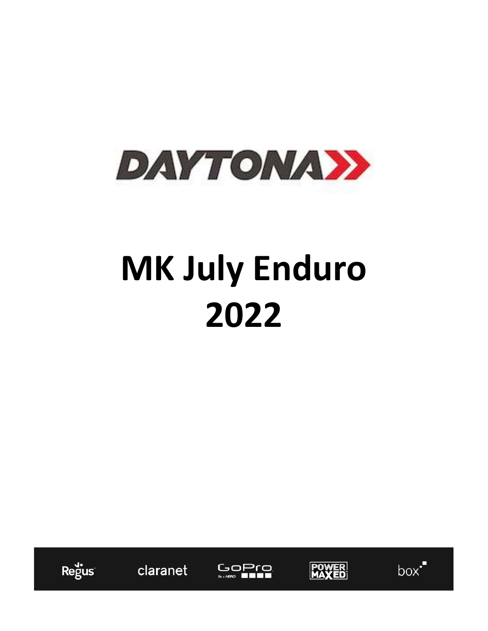

# **MK July Enduro 2022**



claranet





 $box<sup>7</sup>$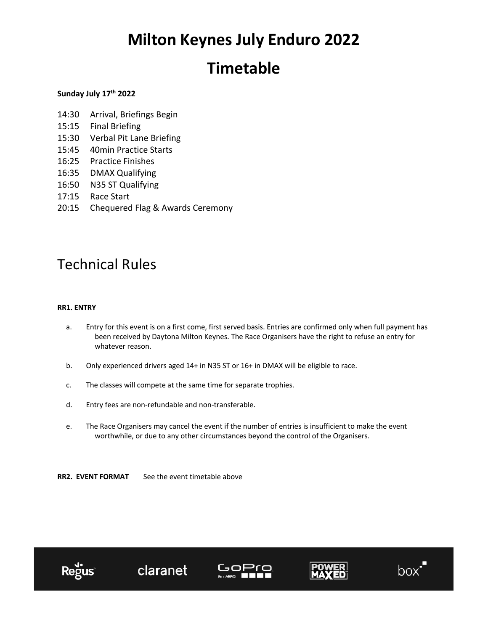### **Timetable**

### **Sunday July 17th 2022**

- 14:30 Arrival, Briefings Begin
- 15:15 Final Briefing
- 15:30 Verbal Pit Lane Briefing
- 15:45 40min Practice Starts
- 16:25 Practice Finishes
- 16:35 DMAX Qualifying
- 16:50 N35 ST Qualifying
- 17:15 Race Start
- 20:15 Chequered Flag & Awards Ceremony

### Technical Rules

### **RR1. ENTRY**

- a. Entry for this event is on a first come, first served basis. Entries are confirmed only when full payment has been received by Daytona Milton Keynes. The Race Organisers have the right to refuse an entry for whatever reason.
- b. Only experienced drivers aged 14+ in N35 ST or 16+ in DMAX will be eligible to race.
- c. The classes will compete at the same time for separate trophies.
- d. Entry fees are non-refundable and non-transferable.
- e. The Race Organisers may cancel the event if the number of entries is insufficient to make the event worthwhile, or due to any other circumstances beyond the control of the Organisers.

**RR2. EVENT FORMAT** See the event timetable above

claranet







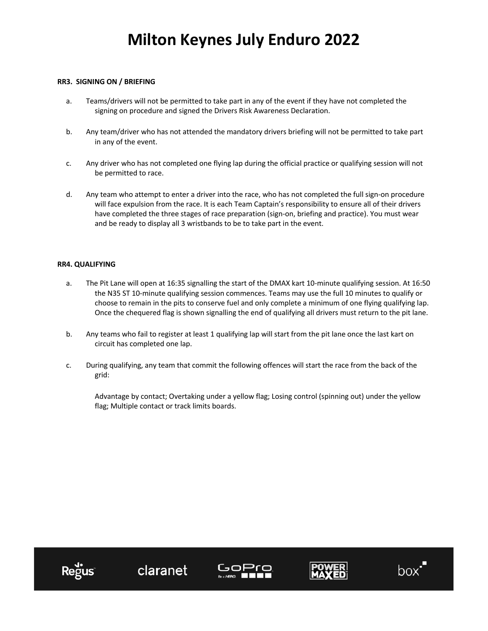### **RR3. SIGNING ON / BRIEFING**

- a. Teams/drivers will not be permitted to take part in any of the event if they have not completed the signing on procedure and signed the Drivers Risk Awareness Declaration.
- b. Any team/driver who has not attended the mandatory drivers briefing will not be permitted to take part in any of the event.
- c. Any driver who has not completed one flying lap during the official practice or qualifying session will not be permitted to race.
- d. Any team who attempt to enter a driver into the race, who has not completed the full sign-on procedure will face expulsion from the race. It is each Team Captain's responsibility to ensure all of their drivers have completed the three stages of race preparation (sign-on, briefing and practice). You must wear and be ready to display all 3 wristbands to be to take part in the event.

### **RR4. QUALIFYING**

- a. The Pit Lane will open at 16:35 signalling the start of the DMAX kart 10-minute qualifying session. At 16:50 the N35 ST 10-minute qualifying session commences. Teams may use the full 10 minutes to qualify or choose to remain in the pits to conserve fuel and only complete a minimum of one flying qualifying lap. Once the chequered flag is shown signalling the end of qualifying all drivers must return to the pit lane.
- b. Any teams who fail to register at least 1 qualifying lap will start from the pit lane once the last kart on circuit has completed one lap.
- c. During qualifying, any team that commit the following offences will start the race from the back of the grid:

Advantage by contact; Overtaking under a yellow flag; Losing control (spinning out) under the yellow flag; Multiple contact or track limits boards.

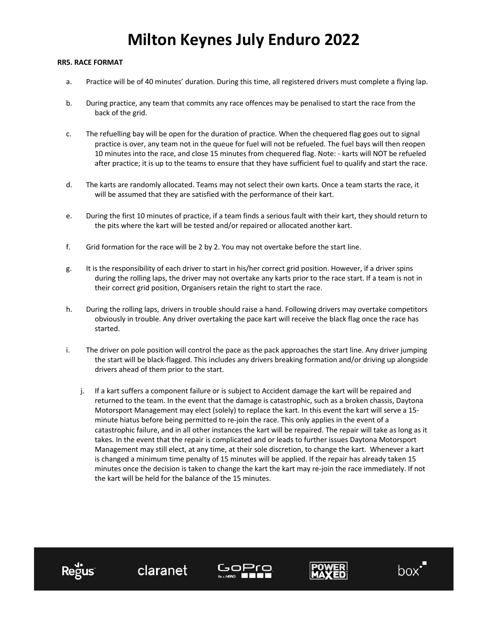#### **RR5. RACE FORMAT**

- a. Practice will be of 40 minutes' duration. During this time, all registered drivers must complete a flying lap.
- b. During practice, any team that commits any race offences may be penalised to start the race from the back of the grid.
- c. The refuelling bay will be open for the duration of practice. When the chequered flag goes out to signal practice is over, any team not in the queue for fuel will not be refueled. The fuel bays will then reopen 10 minutes into the race, and close 15 minutes from chequered flag. Note: - karts will NOT be refueled after practice; it is up to the teams to ensure that they have sufficient fuel to qualify and start the race.
- d. The karts are randomly allocated. Teams may not select their own karts. Once a team starts the race, it will be assumed that they are satisfied with the performance of their kart.
- e. During the first 10 minutes of practice, if a team finds a serious fault with their kart, they should return to the pits where the kart will be tested and/or repaired or allocated another kart.
- f. Grid formation for the race will be 2 by 2. You may not overtake before the start line.

claranet

Regus

- g. It is the responsibility of each driver to start in his/her correct grid position. However, if a driver spins during the rolling laps, the driver may not overtake any karts prior to the race start. If a team is not in their correct grid position, Organisers retain the right to start the race.
- h. During the rolling laps, drivers in trouble should raise a hand. Following drivers may overtake competitors obviously in trouble. Any driver overtaking the pace kart will receive the black flag once the race has started.
- i. The driver on pole position will control the pace as the pack approaches the start line. Any driver jumping the start will be black-flagged. This includes any drivers breaking formation and/or driving up alongside drivers ahead of them prior to the start.
	- j. If a kart suffers a component failure or is subject to Accident damage the kart will be repaired and returned to the team. In the event that the damage is catastrophic, such as a broken chassis, Daytona Motorsport Management may elect (solely) to replace the kart. In this event the kart will serve a 15 minute hiatus before being permitted to re-join the race. This only applies in the event of a catastrophic failure, and in all other instances the kart will be repaired. The repair will take as long as it takes. In the event that the repair is complicated and or leads to further issues Daytona Motorsport Management may still elect, at any time, at their sole discretion, to change the kart. Whenever a kart is changed a minimum time penalty of 15 minutes will be applied. If the repair has already taken 15 minutes once the decision is taken to change the kart the kart may re-join the race immediately. If not the kart will be held for the balance of the 15 minutes.

GoPr

box'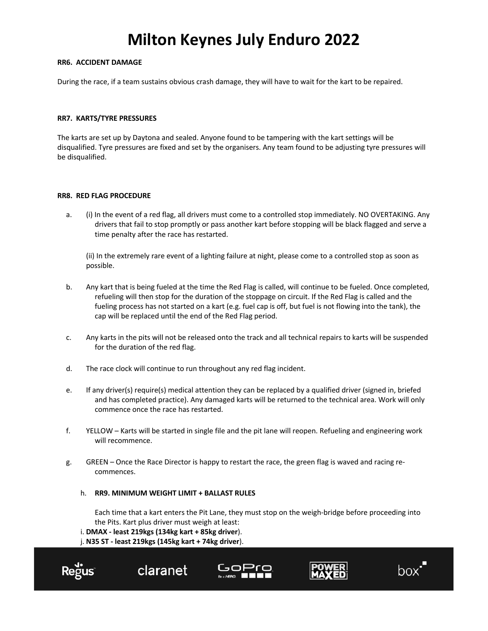### **RR6. ACCIDENT DAMAGE**

During the race, if a team sustains obvious crash damage, they will have to wait for the kart to be repaired.

#### **RR7. KARTS/TYRE PRESSURES**

The karts are set up by Daytona and sealed. Anyone found to be tampering with the kart settings will be disqualified. Tyre pressures are fixed and set by the organisers. Any team found to be adjusting tyre pressures will be disqualified.

#### **RR8. RED FLAG PROCEDURE**

a. (i) In the event of a red flag, all drivers must come to a controlled stop immediately. NO OVERTAKING. Any drivers that fail to stop promptly or pass another kart before stopping will be black flagged and serve a time penalty after the race has restarted.

(ii) In the extremely rare event of a lighting failure at night, please come to a controlled stop as soon as possible.

- b. Any kart that is being fueled at the time the Red Flag is called, will continue to be fueled. Once completed, refueling will then stop for the duration of the stoppage on circuit. If the Red Flag is called and the fueling process has not started on a kart (e.g. fuel cap is off, but fuel is not flowing into the tank), the cap will be replaced until the end of the Red Flag period.
- c. Any karts in the pits will not be released onto the track and all technical repairs to karts will be suspended for the duration of the red flag.
- d. The race clock will continue to run throughout any red flag incident.
- e. If any driver(s) require(s) medical attention they can be replaced by a qualified driver (signed in, briefed and has completed practice). Any damaged karts will be returned to the technical area. Work will only commence once the race has restarted.
- f. YELLOW Karts will be started in single file and the pit lane will reopen. Refueling and engineering work will recommence.
- g. GREEN Once the Race Director is happy to restart the race, the green flag is waved and racing recommences.

#### h. **RR9. MINIMUM WEIGHT LIMIT + BALLAST RULES**

Each time that a kart enters the Pit Lane, they must stop on the weigh-bridge before proceeding into the Pits. Kart plus driver must weigh at least:

#### i. **DMAX - least 219kgs (134kg kart + 85kg driver**).

j. **N35 ST - least 219kgs (145kg kart + 74kg driver**).

claranet







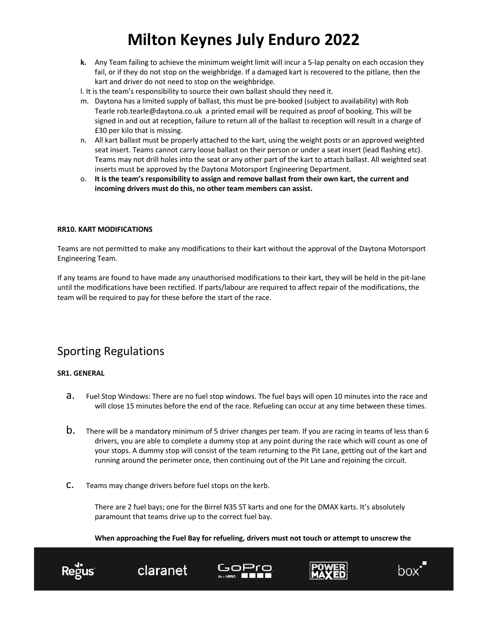- **k.** Any Team failing to achieve the minimum weight limit will incur a 5-lap penalty on each occasion they fail, or if they do not stop on the weighbridge. If a damaged kart is recovered to the pitlane, then the kart and driver do not need to stop on the weighbridge.
- l. It is the team's responsibility to source their own ballast should they need it.
- m. Daytona has a limited supply of ballast, this must be pre-booked (subject to availability) with Rob Tearle rob.tearle@daytona.co.uk a printed email will be required as proof of booking. This will be signed in and out at reception, failure to return all of the ballast to reception will result in a charge of £30 per kilo that is missing.
- n. All kart ballast must be properly attached to the kart, using the weight posts or an approved weighted seat insert. Teams cannot carry loose ballast on their person or under a seat insert (lead flashing etc). Teams may not drill holes into the seat or any other part of the kart to attach ballast. All weighted seat inserts must be approved by the Daytona Motorsport Engineering Department.
- o. **It is the team's responsibility to assign and remove ballast from their own kart, the current and incoming drivers must do this, no other team members can assist.**

### **RR10. KART MODIFICATIONS**

Teams are not permitted to make any modifications to their kart without the approval of the Daytona Motorsport Engineering Team.

If any teams are found to have made any unauthorised modifications to their kart, they will be held in the pit-lane until the modifications have been rectified. If parts/labour are required to affect repair of the modifications, the team will be required to pay for these before the start of the race.

### Sporting Regulations

### **SR1. GENERAL**

- a. Fuel Stop Windows: There are no fuel stop windows. The fuel bays will open 10 minutes into the race and will close 15 minutes before the end of the race. Refueling can occur at any time between these times.
- $b.$  There will be a mandatory minimum of 5 driver changes per team. If you are racing in teams of less than 6 drivers, you are able to complete a dummy stop at any point during the race which will count as one of your stops. A dummy stop will consist of the team returning to the Pit Lane, getting out of the kart and running around the perimeter once, then continuing out of the Pit Lane and rejoining the circuit.
- c. Teams may change drivers before fuel stops on the kerb.

There are 2 fuel bays; one for the Birrel N35 ST karts and one for the DMAX karts. It's absolutely paramount that teams drive up to the correct fuel bay.

**When approaching the Fuel Bay for refueling, drivers must not touch or attempt to unscrew the** 



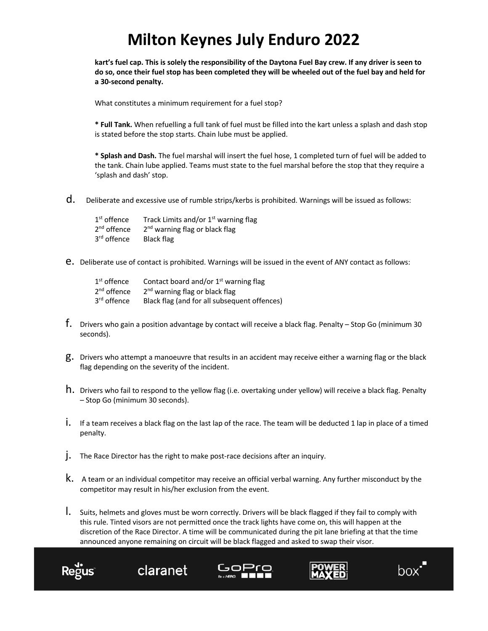**kart's fuel cap. This is solely the responsibility of the Daytona Fuel Bay crew. If any driver is seen to do so, once their fuel stop has been completed they will be wheeled out of the fuel bay and held for a 30-second penalty.**

What constitutes a minimum requirement for a fuel stop?

**\* Full Tank.** When refuelling a full tank of fuel must be filled into the kart unless a splash and dash stop is stated before the stop starts. Chain lube must be applied.

**\* Splash and Dash.** The fuel marshal will insert the fuel hose, 1 completed turn of fuel will be added to the tank. Chain lube applied. Teams must state to the fuel marshal before the stop that they require a 'splash and dash' stop.

d. Deliberate and excessive use of rumble strips/kerbs is prohibited. Warnings will be issued as follows:

| $1st$ offence           | Track Limits and/or 1 <sup>st</sup> warning flag |
|-------------------------|--------------------------------------------------|
| $2nd$ offence           | 2 <sup>nd</sup> warning flag or black flag       |
| 3 <sup>rd</sup> offence | Black flag                                       |

e. Deliberate use of contact is prohibited. Warnings will be issued in the event of ANY contact as follows:

| $1st$ offence           | Contact board and/or $1st$ warning flag      |
|-------------------------|----------------------------------------------|
| $2nd$ offence           | 2 <sup>nd</sup> warning flag or black flag   |
| 3 <sup>rd</sup> offence | Black flag (and for all subsequent offences) |

- f. Drivers who gain a position advantage by contact will receive a black flag. Penalty Stop Go (minimum 30 seconds).
- g. Drivers who attempt a manoeuvre that results in an accident may receive either a warning flag or the black flag depending on the severity of the incident.
- h. Drivers who fail to respond to the yellow flag (i.e. overtaking under yellow) will receive a black flag. Penalty – Stop Go (minimum 30 seconds).
- i. If a team receives a black flag on the last lap of the race. The team will be deducted 1 lap in place of a timed penalty.
- j. The Race Director has the right to make post-race decisions after an inquiry.

claranet

- k. A team or an individual competitor may receive an official verbal warning. Any further misconduct by the competitor may result in his/her exclusion from the event.
- l. Suits, helmets and gloves must be worn correctly. Drivers will be black flagged if they fail to comply with this rule. Tinted visors are not permitted once the track lights have come on, this will happen at the discretion of the Race Director. A time will be communicated during the pit lane briefing at that the time announced anyone remaining on circuit will be black flagged and asked to swap their visor.







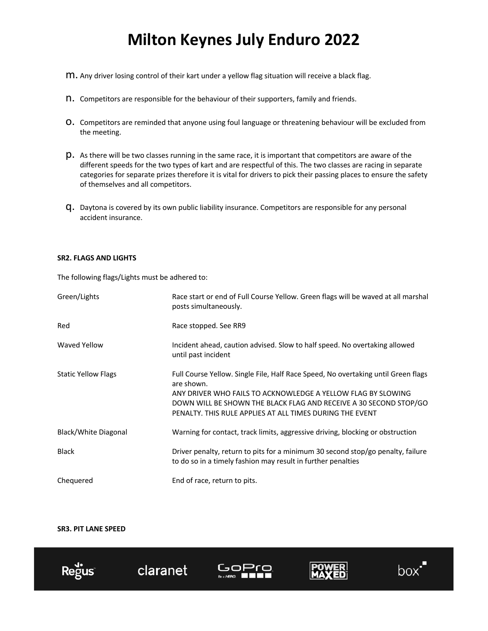- m. Any driver losing control of their kart under a yellow flag situation will receive a black flag.
- n. Competitors are responsible for the behaviour of their supporters, family and friends.
- O. Competitors are reminded that anyone using foul language or threatening behaviour will be excluded from the meeting.
- p. As there will be two classes running in the same race, it is important that competitors are aware of the different speeds for the two types of kart and are respectful of this. The two classes are racing in separate categories for separate prizes therefore it is vital for drivers to pick their passing places to ensure the safety of themselves and all competitors.
- q. Daytona is covered by its own public liability insurance. Competitors are responsible for any personal accident insurance.

#### **SR2. FLAGS AND LIGHTS**

The following flags/Lights must be adhered to:

| Green/Lights               | Race start or end of Full Course Yellow. Green flags will be waved at all marshal<br>posts simultaneously.                                                                                                                                                                                       |
|----------------------------|--------------------------------------------------------------------------------------------------------------------------------------------------------------------------------------------------------------------------------------------------------------------------------------------------|
| Red                        | Race stopped. See RR9                                                                                                                                                                                                                                                                            |
| <b>Waved Yellow</b>        | Incident ahead, caution advised. Slow to half speed. No overtaking allowed<br>until past incident                                                                                                                                                                                                |
| <b>Static Yellow Flags</b> | Full Course Yellow. Single File, Half Race Speed, No overtaking until Green flags<br>are shown.<br>ANY DRIVER WHO FAILS TO ACKNOWLEDGE A YELLOW FLAG BY SLOWING<br>DOWN WILL BE SHOWN THE BLACK FLAG AND RECEIVE A 30 SECOND STOP/GO<br>PENALTY. THIS RULE APPLIES AT ALL TIMES DURING THE EVENT |
| Black/White Diagonal       | Warning for contact, track limits, aggressive driving, blocking or obstruction                                                                                                                                                                                                                   |
| <b>Black</b>               | Driver penalty, return to pits for a minimum 30 second stop/go penalty, failure<br>to do so in a timely fashion may result in further penalties                                                                                                                                                  |
| Chequered                  | End of race, return to pits.                                                                                                                                                                                                                                                                     |

### **SR3. PIT LANE SPEED**

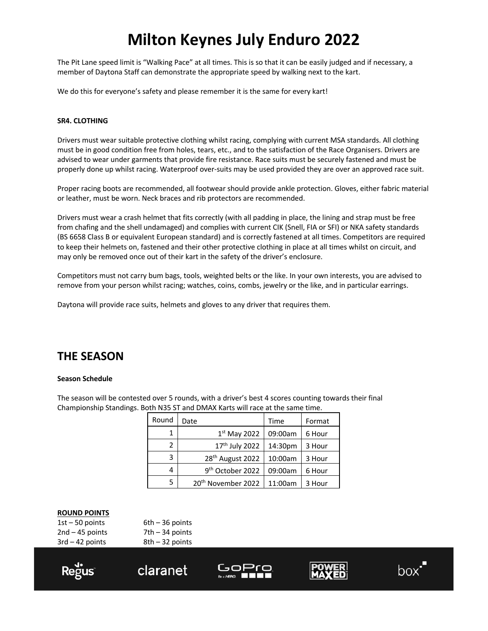The Pit Lane speed limit is "Walking Pace" at all times. This is so that it can be easily judged and if necessary, a member of Daytona Staff can demonstrate the appropriate speed by walking next to the kart.

We do this for everyone's safety and please remember it is the same for every kart!

### **SR4. CLOTHING**

Drivers must wear suitable protective clothing whilst racing, complying with current MSA standards. All clothing must be in good condition free from holes, tears, etc., and to the satisfaction of the Race Organisers. Drivers are advised to wear under garments that provide fire resistance. Race suits must be securely fastened and must be properly done up whilst racing. Waterproof over-suits may be used provided they are over an approved race suit.

Proper racing boots are recommended, all footwear should provide ankle protection. Gloves, either fabric material or leather, must be worn. Neck braces and rib protectors are recommended.

Drivers must wear a crash helmet that fits correctly (with all padding in place, the lining and strap must be free from chafing and the shell undamaged) and complies with current CIK (Snell, FIA or SFI) or NKA safety standards (BS 6658 Class B or equivalent European standard) and is correctly fastened at all times. Competitors are required to keep their helmets on, fastened and their other protective clothing in place at all times whilst on circuit, and may only be removed once out of their kart in the safety of the driver's enclosure.

Competitors must not carry bum bags, tools, weighted belts or the like. In your own interests, you are advised to remove from your person whilst racing; watches, coins, combs, jewelry or the like, and in particular earrings.

Daytona will provide race suits, helmets and gloves to any driver that requires them.

### **THE SEASON**

#### **Season Schedule**

The season will be contested over 5 rounds, with a driver's best 4 scores counting towards their final Championship Standings. Both N35 ST and DMAX Karts will race at the same time.

| Round | Date                           | Time    | Format |
|-------|--------------------------------|---------|--------|
|       | $1st$ May 2022                 | 09:00am | 6 Hour |
| 2     | 17 <sup>th</sup> July 2022     | 14:30pm | 3 Hour |
| 3     | 28 <sup>th</sup> August 2022   | 10:00am | 3 Hour |
| 4     | 9 <sup>th</sup> October 2022   | 09:00am | 6 Hour |
| 5.    | 20 <sup>th</sup> November 2022 | 11:00am | 3 Hour |

#### **ROUND POINTS**

 $1st - 50$  points 6th  $-36$  points  $2nd - 45$  points  $7th - 34$  points  $3rd - 42$  points  $8th - 32$  points

claranet







 $box<sup>7</sup>$